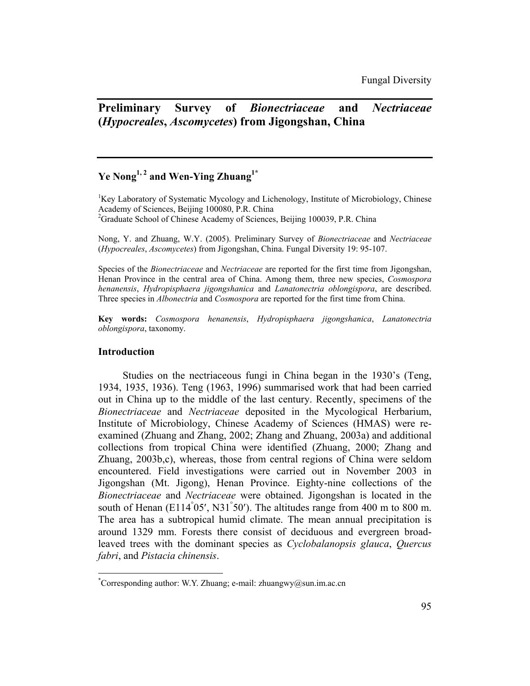# **Preliminary Survey of** *Bionectriaceae* **and** *Nectriaceae* **(***Hypocreales***,** *Ascomycetes***) from Jigongshan, China**

# Ye Nong<sup>1, 2</sup> and Wen-Ying Zhuang<sup>1\*</sup>

<sup>1</sup>Key Laboratory of Systematic Mycology and Lichenology, Institute of Microbiology, Chinese Academy of Sciences, Beijing 100080, P.R. China<sup>2</sup> <sup>2</sup>Graduate School of Chinese Academy of Sciences, Beijing 100039, P.R. China

Nong, Y. and Zhuang, W.Y. (2005). Preliminary Survey of *Bionectriaceae* and *Nectriaceae* (*Hypocreales*, *Ascomycetes*) from Jigongshan, China. Fungal Diversity 19: 95-107.

Species of the *Bionectriaceae* and *Nectriaceae* are reported for the first time from Jigongshan, Henan Province in the central area of China. Among them, three new species, *Cosmospora henanensis*, *Hydropisphaera jigongshanica* and *Lanatonectria oblongispora*, are described. Three species in *Albonectria* and *Cosmospora* are reported for the first time from China.

**Key words:** *Cosmospora henanensis*, *Hydropisphaera jigongshanica*, *Lanatonectria oblongispora*, taxonomy.

# **Introduction**

 $\overline{a}$ 

Studies on the nectriaceous fungi in China began in the 1930's (Teng, 1934, 1935, 1936). Teng (1963, 1996) summarised work that had been carried out in China up to the middle of the last century. Recently, specimens of the *Bionectriaceae* and *Nectriaceae* deposited in the Mycological Herbarium, Institute of Microbiology, Chinese Academy of Sciences (HMAS) were reexamined (Zhuang and Zhang, 2002; Zhang and Zhuang, 2003a) and additional collections from tropical China were identified (Zhuang, 2000; Zhang and Zhuang, 2003b,c), whereas, those from central regions of China were seldom encountered. Field investigations were carried out in November 2003 in Jigongshan (Mt. Jigong), Henan Province. Eighty-nine collections of the *Bionectriaceae* and *Nectriaceae* were obtained. Jigongshan is located in the south of Henan ( $E114°05'$ , N31°50'). The altitudes range from 400 m to 800 m. The area has a subtropical humid climate. The mean annual precipitation is around 1329 mm. Forests there consist of deciduous and evergreen broadleaved trees with the dominant species as *Cyclobalanopsis glauca*, *Quercus fabri*, and *Pistacia chinensis*.

<sup>\*</sup> Corresponding author: W.Y. Zhuang; e-mail: zhuangwy@sun.im.ac.cn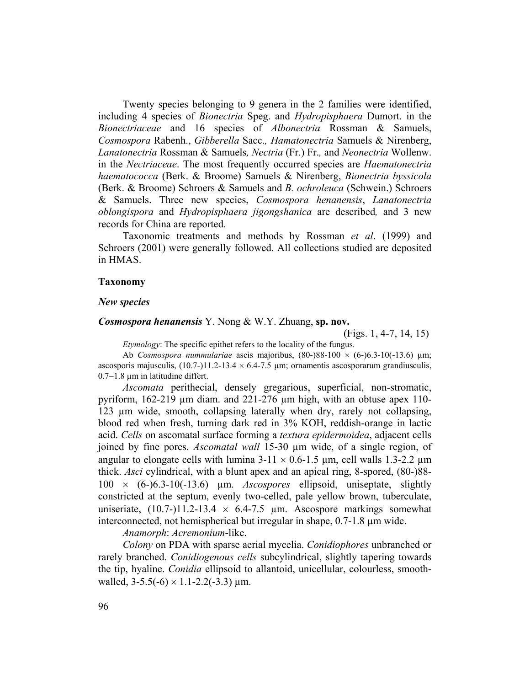Twenty species belonging to 9 genera in the 2 families were identified, including 4 species of *Bionectria* Speg. and *Hydropisphaera* Dumort. in the *Bionectriaceae* and 16 species of *Albonectria* Rossman & Samuels, *Cosmospora* Rabenh., *Gibberella* Sacc.*, Hamatonectria* Samuels & Nirenberg, *Lanatonectria* Rossman & Samuels*, Nectria* (Fr.) Fr.*,* and *Neonectria* Wollenw. in the *Nectriaceae*. The most frequently occurred species are *Haematonectria haematococca* (Berk. & Broome) Samuels & Nirenberg, *Bionectria byssicola* (Berk. & Broome) Schroers & Samuels and *B. ochroleuca* (Schwein.) Schroers & Samuels. Three new species, *Cosmospora henanensis*, *Lanatonectria oblongispora* and *Hydropisphaera jigongshanica* are described*,* and 3 new records for China are reported.

Taxonomic treatments and methods by Rossman *et al*. (1999) and Schroers (2001) were generally followed. All collections studied are deposited in HMAS.

# **Taxonomy**

#### *New species*

# *Cosmospora henanensis* Y. Nong & W.Y. Zhuang, **sp. nov.**

(Figs. 1, 4-7, 14, 15)

*Etymology*: The specific epithet refers to the locality of the fungus.

 Ab *Cosmospora nummulariae* ascis majoribus, (80-)88-100 × (6-)6.3-10(-13.6) µm; ascosporis majusculis,  $(10.7)$ -11.2-13.4  $\times$  6.4-7.5 µm; ornamentis ascosporarum grandiusculis, 0.7−1.8 µm in latitudine differt.

*Ascomata* perithecial, densely gregarious, superficial, non-stromatic, pyriform, 162-219 µm diam. and 221-276 µm high, with an obtuse apex 110- 123 µm wide, smooth, collapsing laterally when dry, rarely not collapsing, blood red when fresh, turning dark red in 3% KOH, reddish-orange in lactic acid. *Cells* on ascomatal surface forming a *textura epidermoidea*, adjacent cells joined by fine pores. *Ascomatal wall* 15-30 µm wide, of a single region, of angular to elongate cells with lumina  $3-11 \times 0.6-1.5$  µm, cell walls 1.3-2.2 µm thick. *Asci* cylindrical, with a blunt apex and an apical ring, 8-spored, (80-)88- 100 × (6-)6.3-10(-13.6) µm. *Ascospores* ellipsoid, uniseptate, slightly constricted at the septum, evenly two-celled, pale yellow brown, tuberculate, uniseriate,  $(10.7)$ -11.2-13.4  $\times$  6.4-7.5 µm. Ascospore markings somewhat interconnected, not hemispherical but irregular in shape, 0.7-1.8 µm wide.

*Anamorph*: *Acremonium*-like.

*Colony* on PDA with sparse aerial mycelia. *Conidiophores* unbranched or rarely branched. *Conidiogenous cells* subcylindrical, slightly tapering towards the tip, hyaline. *Conidia* ellipsoid to allantoid, unicellular, colourless, smoothwalled,  $3-5.5(-6) \times 1.1-2.2(-3.3) \mu m$ .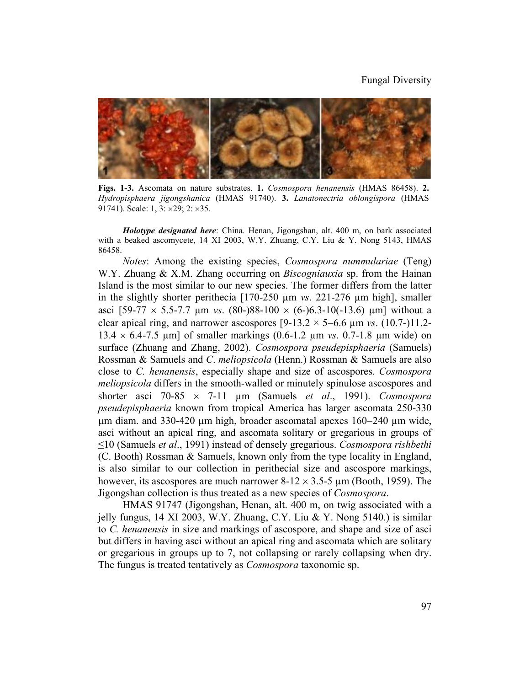#### Fungal Diversity



**Figs. 1-3.** Ascomata on nature substrates. **1.** *Cosmospora henanensis* (HMAS 86458). **2.** *Hydropisphaera jigongshanica* (HMAS 91740). **3.** *Lanatonectria oblongispora* (HMAS 91741). Scale: 1, 3: ×29; 2: ×35.

*Holotype designated here*: China. Henan, Jigongshan, alt. 400 m, on bark associated with a beaked ascomycete, 14 XI 2003, W.Y. Zhuang, C.Y. Liu & Y. Nong 5143, HMAS 86458.

*Notes*: Among the existing species, *Cosmospora nummulariae* (Teng) W.Y. Zhuang & X.M. Zhang occurring on *Biscogniauxia* sp. from the Hainan Island is the most similar to our new species. The former differs from the latter in the slightly shorter perithecia [170-250 µm *vs*. 221-276 µm high], smaller asci [59-77 × 5.5-7.7 µm *vs*. (80-)88-100 × (6-)6.3-10(-13.6) µm] without a clear apical ring, and narrower ascospores [9-13.2 × 5−6.6 µm *vs*. (10.7-)11.2- 13.4 × 6.4-7.5 µm] of smaller markings (0.6-1.2 µm *vs*. 0.7-1.8 µm wide) on surface (Zhuang and Zhang, 2002). *Cosmospora pseudepisphaeria* (Samuels) Rossman & Samuels and *C*. *meliopsicola* (Henn.) Rossman & Samuels are also close to *C. henanensis*, especially shape and size of ascospores. *Cosmospora meliopsicola* differs in the smooth-walled or minutely spinulose ascospores and shorter asci 70-85 × 7-11 µm (Samuels *et al*., 1991). *Cosmospora pseudepisphaeria* known from tropical America has larger ascomata 250-330 µm diam. and 330-420 µm high, broader ascomatal apexes 160−240 µm wide, asci without an apical ring, and ascomata solitary or gregarious in groups of ≤10 (Samuels *et al*., 1991) instead of densely gregarious. *Cosmospora rishbethi*  (C. Booth) Rossman & Samuels, known only from the type locality in England, is also similar to our collection in perithecial size and ascospore markings, however, its ascospores are much narrower  $8-12 \times 3.5-5$  µm (Booth, 1959). The Jigongshan collection is thus treated as a new species of *Cosmospora*.

HMAS 91747 (Jigongshan, Henan, alt. 400 m, on twig associated with a jelly fungus, 14 XI 2003, W.Y. Zhuang, C.Y. Liu & Y. Nong 5140.) is similar to *C. henanensis* in size and markings of ascospore, and shape and size of asci but differs in having asci without an apical ring and ascomata which are solitary or gregarious in groups up to 7, not collapsing or rarely collapsing when dry. The fungus is treated tentatively as *Cosmospora* taxonomic sp.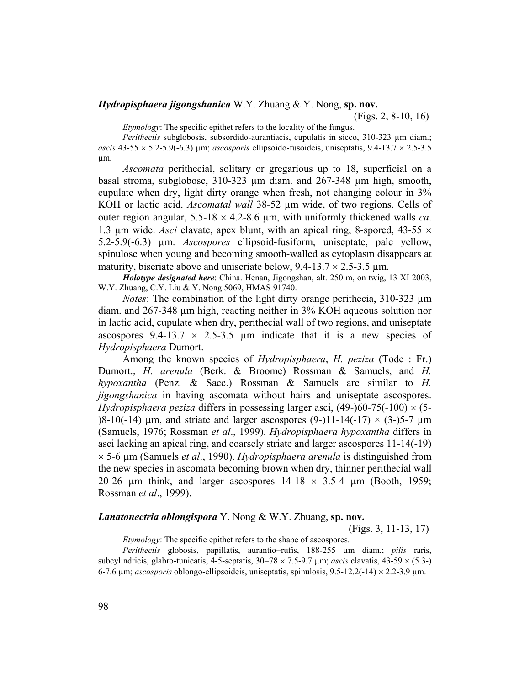# *Hydropisphaera jigongshanica* W.Y. Zhuang & Y. Nong, **sp. nov.**

(Figs. 2, 8-10, 16)

*Etymology*: The specific epithet refers to the locality of the fungus.

*Peritheciis* subglobosis, subsordido-aurantiacis, cupulatis in sicco, 310-323 µm diam.;  $ascis$  43-55  $\times$  5.2-5.9(-6.3)  $\mu$ m; *ascosporis* ellipsoido-fusoideis, uniseptatis, 9.4-13.7  $\times$  2.5-3.5 µm.

*Ascomata* perithecial, solitary or gregarious up to 18, superficial on a basal stroma, subglobose, 310-323 µm diam. and 267-348 µm high, smooth, cupulate when dry, light dirty orange when fresh, not changing colour in 3% KOH or lactic acid. *Ascomatal wall* 38-52 µm wide, of two regions. Cells of outer region angular,  $5.5{\text -}18 \times 4.2{\text -}8.6$  µm, with uniformly thickened walls *ca*. 1.3 um wide. *Asci* clavate, apex blunt, with an apical ring, 8-spored,  $43-55 \times$ 5.2-5.9(-6.3) µm. *Ascospores* ellipsoid-fusiform, uniseptate, pale yellow, spinulose when young and becoming smooth-walled as cytoplasm disappears at maturity, biseriate above and uniseriate below,  $9.4\n-13.7 \times 2.5\n-3.5 \text{ µm}$ .

*Holotype designated here*: China. Henan, Jigongshan, alt. 250 m, on twig, 13 XI 2003, W.Y. Zhuang, C.Y. Liu & Y. Nong 5069, HMAS 91740.

*Notes*: The combination of the light dirty orange perithecia, 310-323  $\mu$ m diam. and 267-348 µm high, reacting neither in 3% KOH aqueous solution nor in lactic acid, cupulate when dry, perithecial wall of two regions, and uniseptate ascospores 9.4-13.7  $\times$  2.5-3.5 µm indicate that it is a new species of *Hydropisphaera* Dumort.

Among the known species of *Hydropisphaera*, *H. peziza* (Tode : Fr.) Dumort., *H. arenula* (Berk. & Broome) Rossman & Samuels, and *H. hypoxantha* (Penz. & Sacc.) Rossman & Samuels are similar to *H. jigongshanica* in having ascomata without hairs and uniseptate ascospores. *Hydropisphaera peziza* differs in possessing larger asci,  $(49-60-75(-100) \times (5-75)$ )8-10(-14) um, and striate and larger ascospores (9-)11-14(-17)  $\times$  (3-)5-7 um (Samuels, 1976; Rossman *et al*., 1999). *Hydropisphaera hypoxantha* differs in asci lacking an apical ring, and coarsely striate and larger ascospores 11-14(-19) × 5-6 µm (Samuels *et al*., 1990). *Hydropisphaera arenula* is distinguished from the new species in ascomata becoming brown when dry, thinner perithecial wall 20-26  $\mu$ m think, and larger ascospores 14-18  $\times$  3.5-4  $\mu$ m (Booth, 1959; Rossman *et al*., 1999).

#### *Lanatonectria oblongispora* Y. Nong & W.Y. Zhuang, **sp. nov.**

(Figs. 3, 11-13, 17)

*Etymology*: The specific epithet refers to the shape of ascospores.

*Peritheciis* globosis, papillatis, aurantio−rufis, 188-255 µm diam.; *pilis* raris, subcylindricis, glabro-tunicatis, 4-5-septatis, 30−78 × 7.5-9.7 µm; *ascis* clavatis, 43-59 × (5.3-) 6-7.6 µm; *ascosporis* oblongo-ellipsoideis, uniseptatis, spinulosis, 9.5-12.2(-14) × 2.2-3.9 µm.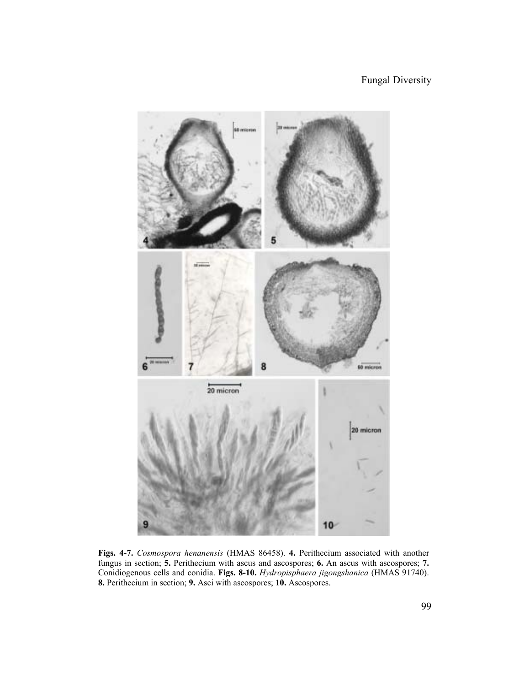

**Figs. 4-7.** *Cosmospora henanensis* (HMAS 86458). **4.** Perithecium associated with another fungus in section; **5.** Perithecium with ascus and ascospores; **6.** An ascus with ascospores; **7.**  Conidiogenous cells and conidia. **Figs. 8-10.** *Hydropisphaera jigongshanica* (HMAS 91740). **8.** Perithecium in section; **9.** Asci with ascospores; **10.** Ascospores.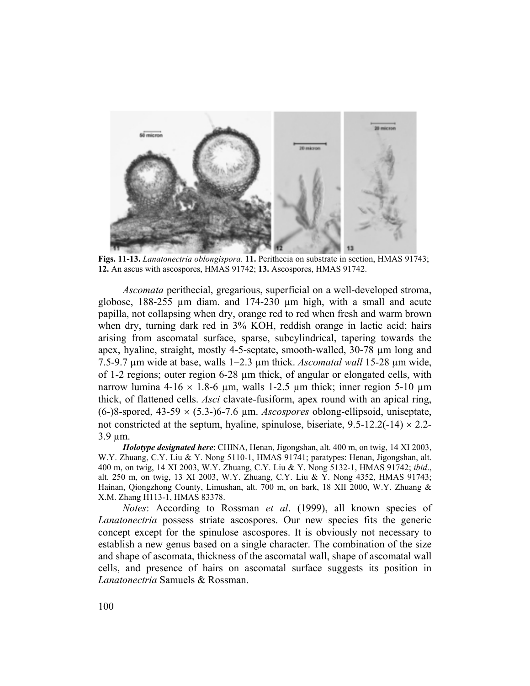

**Figs. 11-13.** *Lanatonectria oblongispora*. **11.** Perithecia on substrate in section, HMAS 91743; **12.** An ascus with ascospores, HMAS 91742; **13.** Ascospores, HMAS 91742.

*Ascomata* perithecial, gregarious, superficial on a well-developed stroma, globose, 188-255 µm diam. and 174-230 µm high, with a small and acute papilla, not collapsing when dry, orange red to red when fresh and warm brown when dry, turning dark red in 3% KOH, reddish orange in lactic acid; hairs arising from ascomatal surface, sparse, subcylindrical, tapering towards the apex, hyaline, straight, mostly 4-5-septate, smooth-walled, 30-78 µm long and 7.5-9.7 µm wide at base, walls 1−2.3 µm thick. *Ascomatal wall* 15-28 µm wide, of 1-2 regions; outer region 6-28 µm thick, of angular or elongated cells, with narrow lumina 4-16  $\times$  1.8-6 µm, walls 1-2.5 µm thick; inner region 5-10 µm thick, of flattened cells. *Asci* clavate-fusiform, apex round with an apical ring, (6-)8-spored, 43-59 × (5.3-)6-7.6 µm. *Ascospores* oblong-ellipsoid, uniseptate, not constricted at the septum, hyaline, spinulose, biseriate,  $9.5\n-12.2(-14) \times 2.2\n-$ 3.9 µm.

*Holotype designated here*: CHINA, Henan, Jigongshan, alt. 400 m, on twig, 14 XI 2003, W.Y. Zhuang, C.Y. Liu & Y. Nong 5110-1, HMAS 91741; paratypes: Henan, Jigongshan, alt. 400 m, on twig, 14 XI 2003, W.Y. Zhuang, C.Y. Liu & Y. Nong 5132-1, HMAS 91742; *ibid*., alt. 250 m, on twig, 13 XI 2003, W.Y. Zhuang, C.Y. Liu & Y. Nong 4352, HMAS 91743; Hainan, Qiongzhong County, Limushan, alt. 700 m, on bark, 18 XII 2000, W.Y. Zhuang & X.M. Zhang H113-1, HMAS 83378.

*Notes*: According to Rossman *et al*. (1999), all known species of *Lanatonectria* possess striate ascospores. Our new species fits the generic concept except for the spinulose ascospores. It is obviously not necessary to establish a new genus based on a single character. The combination of the size and shape of ascomata, thickness of the ascomatal wall, shape of ascomatal wall cells, and presence of hairs on ascomatal surface suggests its position in *Lanatonectria* Samuels & Rossman.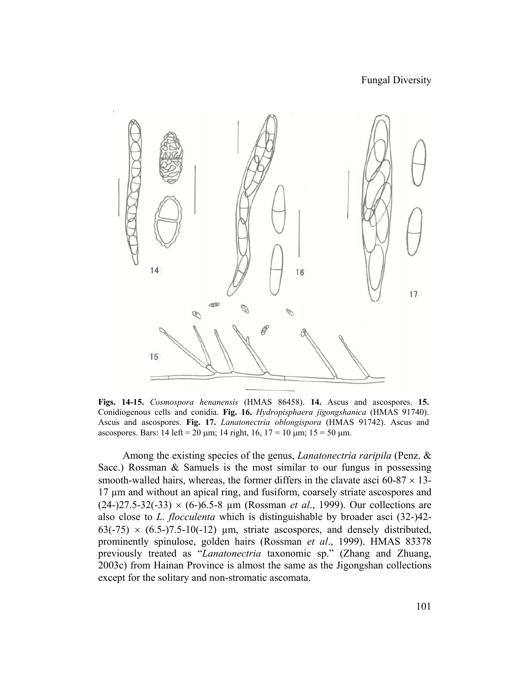

**Figs. 14-15.** *Cosmospora henanensis* (HMAS 86458). **14.** Ascus and ascospores. **15.**  Conidiogenous cells and conidia. **Fig. 16.** *Hydropisphaera jigongshanica* (HMAS 91740). Ascus and ascospores. **Fig. 17.** *Lanatonectria oblongispora* (HMAS 91742). Ascus and ascospores. Bars: 14 left = 20 µm; 14 right, 16, 17 = 10 µm; 15 = 50 µm.

 Among the existing species of the genus, *Lanatonectria raripila* (Penz. & Sacc.) Rossman & Samuels is the most similar to our fungus in possessing smooth-walled hairs, whereas, the former differs in the clavate asci  $60-87 \times 13$ -17 µm and without an apical ring, and fusiform, coarsely striate ascospores and (24-)27.5-32(-33) × (6-)6.5-8 µm (Rossman *et al*., 1999). Our collections are also close to *L. flocculenta* which is distinguishable by broader asci (32-)42-  $63(-75) \times (6.5-7.5-10(-12)$  µm, striate ascospores, and densely distributed, prominently spinulose, golden hairs (Rossman *et al*., 1999). HMAS 83378 previously treated as "*Lanatonectria* taxonomic sp." (Zhang and Zhuang, 2003c) from Hainan Province is almost the same as the Jigongshan collections except for the solitary and non-stromatic ascomata.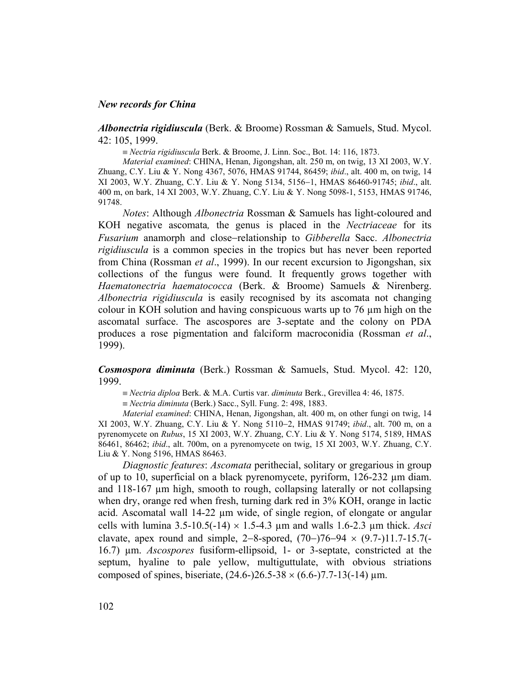### *New records for China*

*Albonectria rigidiuscula* (Berk. & Broome) Rossman & Samuels, Stud. Mycol. 42: 105, 1999.

≡ *Nectria rigidiuscula* Berk. & Broome, J. Linn. Soc., Bot. 14: 116, 1873.

*Material examined*: CHINA, Henan, Jigongshan, alt. 250 m, on twig, 13 XI 2003, W.Y. Zhuang, C.Y. Liu & Y. Nong 4367, 5076, HMAS 91744, 86459; *ibid*., alt. 400 m, on twig, 14 XI 2003, W.Y. Zhuang, C.Y. Liu & Y. Nong 5134, 5156−1, HMAS 86460-91745; *ibid*., alt. 400 m, on bark, 14 XI 2003, W.Y. Zhuang, C.Y. Liu & Y. Nong 5098-1, 5153, HMAS 91746, 91748.

*Notes*: Although *Albonectria* Rossman & Samuels has light-coloured and KOH negative ascomata*,* the genus is placed in the *Nectriaceae* for its *Fusarium* anamorph and close−relationship to *Gibberella* Sacc. *Albonectria rigidiuscula* is a common species in the tropics but has never been reported from China (Rossman *et al*., 1999). In our recent excursion to Jigongshan, six collections of the fungus were found. It frequently grows together with *Haematonectria haematococca* (Berk. & Broome) Samuels & Nirenberg. *Albonectria rigidiuscula* is easily recognised by its ascomata not changing colour in KOH solution and having conspicuous warts up to 76 µm high on the ascomatal surface. The ascospores are 3-septate and the colony on PDA produces a rose pigmentation and falciform macroconidia (Rossman *et al*., 1999).

*Cosmospora diminuta* (Berk.) Rossman & Samuels, Stud. Mycol. 42: 120, 1999.

≡ *Nectria diploa* Berk. & M.A. Curtis var. *diminuta* Berk., Grevillea 4: 46, 1875.

≡ *Nectria diminuta* (Berk.) Sacc., Syll. Fung. 2: 498, 1883.

*Material examined*: CHINA, Henan, Jigongshan, alt. 400 m, on other fungi on twig, 14 XI 2003, W.Y. Zhuang, C.Y. Liu & Y. Nong 5110−2, HMAS 91749; *ibid*., alt. 700 m, on a pyrenomycete on *Rubus*, 15 XI 2003, W.Y. Zhuang, C.Y. Liu & Y. Nong 5174, 5189, HMAS 86461, 86462; *ibid*., alt. 700m, on a pyrenomycete on twig, 15 XI 2003, W.Y. Zhuang, C.Y. Liu & Y. Nong 5196, HMAS 86463.

*Diagnostic features*: *Ascomata* perithecial, solitary or gregarious in group of up to 10, superficial on a black pyrenomycete, pyriform, 126-232 µm diam. and 118-167 µm high, smooth to rough, collapsing laterally or not collapsing when dry, orange red when fresh, turning dark red in 3% KOH, orange in lactic acid. Ascomatal wall 14-22 µm wide, of single region, of elongate or angular cells with lumina  $3.5{\text -}10.5({\text -}14) \times 1.5{\text -}4.3$  µm and walls  $1.6{\text -}2.3$  µm thick. *Asci* clavate, apex round and simple, 2–8-spored,  $(70-)76-94 \times (9.7-)11.7-15.7(-$ 16.7) µm. *Ascospores* fusiform-ellipsoid, 1- or 3-septate, constricted at the septum, hyaline to pale yellow, multiguttulate, with obvious striations composed of spines, biseriate,  $(24.6-26.5-38 \times (6.6-77.7-13(-14) \,\mu m)$ .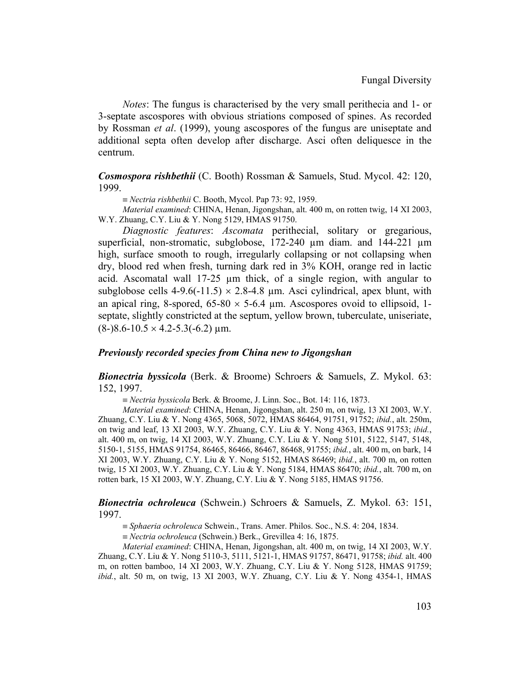*Notes*: The fungus is characterised by the very small perithecia and 1- or 3-septate ascospores with obvious striations composed of spines. As recorded by Rossman *et al*. (1999), young ascospores of the fungus are uniseptate and additional septa often develop after discharge. Asci often deliquesce in the centrum.

*Cosmospora rishbethii* (C. Booth) Rossman & Samuels, Stud. Mycol. 42: 120, 1999.

≡ *Nectria rishbethii* C. Booth, Mycol. Pap 73: 92, 1959.

*Material examined*: CHINA, Henan, Jigongshan, alt. 400 m, on rotten twig, 14 XI 2003, W.Y. Zhuang, C.Y. Liu & Y. Nong 5129, HMAS 91750.

*Diagnostic features*: *Ascomata* perithecial, solitary or gregarious, superficial, non-stromatic, subglobose, 172-240  $\mu$ m diam. and 144-221  $\mu$ m high, surface smooth to rough, irregularly collapsing or not collapsing when dry, blood red when fresh, turning dark red in 3% KOH, orange red in lactic acid. Ascomatal wall 17-25 µm thick, of a single region, with angular to subglobose cells  $4-9.6(-11.5) \times 2.8-4.8$  µm. Asci cylindrical, apex blunt, with an apical ring, 8-spored,  $65{\text -}80 \times 5{\text -}6.4 \text{ }\mu\text{m}$ . Ascospores ovoid to ellipsoid, 1septate, slightly constricted at the septum, yellow brown, tuberculate, uniseriate,  $(8-)8.6-10.5 \times 4.2-5.3(-6.2) \mu m$ .

# *Previously recorded species from China new to Jigongshan*

*Bionectria byssicola* (Berk. & Broome) Schroers & Samuels, Z. Mykol. 63: 152, 1997.

≡ *Nectria byssicola* Berk. & Broome, J. Linn. Soc., Bot. 14: 116, 1873.

*Material examined*: CHINA, Henan, Jigongshan, alt. 250 m, on twig, 13 XI 2003, W.Y. Zhuang, C.Y. Liu & Y. Nong 4365, 5068, 5072, HMAS 86464, 91751, 91752; *ibid.*, alt. 250m, on twig and leaf, 13 XI 2003, W.Y. Zhuang, C.Y. Liu & Y. Nong 4363, HMAS 91753; *ibid.*, alt. 400 m, on twig, 14 XI 2003, W.Y. Zhuang, C.Y. Liu & Y. Nong 5101, 5122, 5147, 5148, 5150-1, 5155, HMAS 91754, 86465, 86466, 86467, 86468, 91755; *ibid.*, alt. 400 m, on bark, 14 XI 2003, W.Y. Zhuang, C.Y. Liu & Y. Nong 5152, HMAS 86469; *ibid.*, alt. 700 m, on rotten twig, 15 XI 2003, W.Y. Zhuang, C.Y. Liu & Y. Nong 5184, HMAS 86470; *ibid.*, alt. 700 m, on rotten bark, 15 XI 2003, W.Y. Zhuang, C.Y. Liu & Y. Nong 5185, HMAS 91756.

*Bionectria ochroleuca* (Schwein.) Schroers & Samuels, Z. Mykol. 63: 151, 1997.

≡ *Sphaeria ochroleuca* Schwein., Trans. Amer. Philos. Soc., N.S. 4: 204, 1834.

≡ *Nectria ochroleuca* (Schwein.) Berk., Grevillea 4: 16, 1875.

*Material examined*: CHINA, Henan, Jigongshan, alt. 400 m, on twig, 14 XI 2003, W.Y. Zhuang, C.Y. Liu & Y. Nong 5110-3, 5111, 5121-1, HMAS 91757, 86471, 91758; *ibid.* alt. 400 m, on rotten bamboo, 14 XI 2003, W.Y. Zhuang, C.Y. Liu & Y. Nong 5128, HMAS 91759; *ibid.*, alt. 50 m, on twig, 13 XI 2003, W.Y. Zhuang, C.Y. Liu & Y. Nong 4354-1, HMAS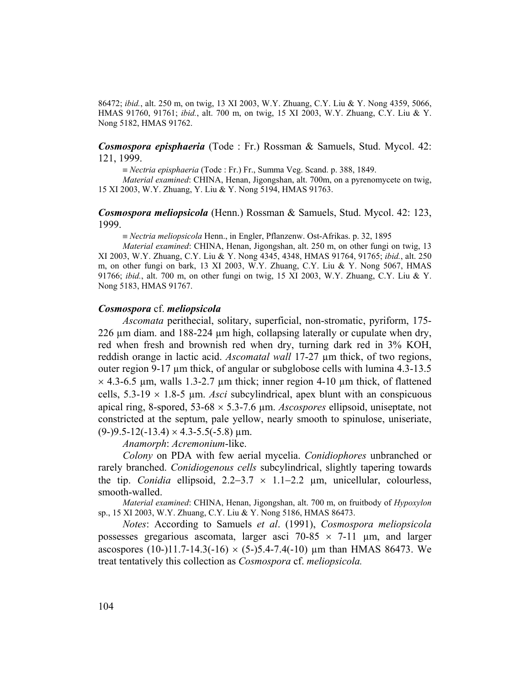86472; *ibid.*, alt. 250 m, on twig, 13 XI 2003, W.Y. Zhuang, C.Y. Liu & Y. Nong 4359, 5066, HMAS 91760, 91761; *ibid.*, alt. 700 m, on twig, 15 XI 2003, W.Y. Zhuang, C.Y. Liu & Y. Nong 5182, HMAS 91762.

# *Cosmospora episphaeria* (Tode : Fr.) Rossman & Samuels, Stud. Mycol. 42: 121, 1999.

≡ *Nectria episphaeria* (Tode : Fr.) Fr., Summa Veg. Scand. p. 388, 1849.

*Material examined*: CHINA, Henan, Jigongshan, alt. 700m, on a pyrenomycete on twig, 15 XI 2003, W.Y. Zhuang, Y. Liu & Y. Nong 5194, HMAS 91763.

# *Cosmospora meliopsicola* (Henn.) Rossman & Samuels, Stud. Mycol. 42: 123, 1999.

≡ *Nectria meliopsicola* Henn., in Engler, Pflanzenw. Ost-Afrikas. p. 32, 1895

*Material examined*: CHINA, Henan, Jigongshan, alt. 250 m, on other fungi on twig, 13 XI 2003, W.Y. Zhuang, C.Y. Liu & Y. Nong 4345, 4348, HMAS 91764, 91765; *ibid.*, alt. 250 m, on other fungi on bark, 13 XI 2003, W.Y. Zhuang, C.Y. Liu & Y. Nong 5067, HMAS 91766; *ibid.*, alt. 700 m, on other fungi on twig, 15 XI 2003, W.Y. Zhuang, C.Y. Liu & Y. Nong 5183, HMAS 91767.

#### *Cosmospora* cf. *meliopsicola*

*Ascomata* perithecial, solitary, superficial, non-stromatic, pyriform, 175- 226  $\mu$ m diam. and 188-224  $\mu$ m high, collapsing laterally or cupulate when dry, red when fresh and brownish red when dry, turning dark red in 3% KOH, reddish orange in lactic acid. *Ascomatal wall* 17-27 µm thick, of two regions, outer region 9-17  $\mu$ m thick, of angular or subglobose cells with lumina 4.3-13.5  $\times$  4.3-6.5 µm, walls 1.3-2.7 µm thick; inner region 4-10 µm thick, of flattened cells,  $5.3\n-19 \times 1.8\n-5 \mu m$ . *Asci* subcylindrical, apex blunt with an conspicuous apical ring, 8-spored, 53-68 × 5.3-7.6 µm. *Ascospores* ellipsoid, uniseptate, not constricted at the septum, pale yellow, nearly smooth to spinulose, uniseriate,  $(9-)9.5-12(-13.4) \times 4.3-5.5(-5.8) \text{ µm}.$ 

*Anamorph*: *Acremonium*-like.

*Colony* on PDA with few aerial mycelia. *Conidiophores* unbranched or rarely branched. *Conidiogenous cells* subcylindrical, slightly tapering towards the tip. *Conidia* ellipsoid, 2.2−3.7 × 1.1−2.2 µm, unicellular, colourless, smooth-walled.

*Material examined*: CHINA, Henan, Jigongshan, alt. 700 m, on fruitbody of *Hypoxylon*  sp., 15 XI 2003, W.Y. Zhuang, C.Y. Liu & Y. Nong 5186, HMAS 86473.

*Notes*: According to Samuels *et al*. (1991), *Cosmospora meliopsicola* possesses gregarious ascomata, larger asci  $70-85 \times 7-11$  µm, and larger ascospores (10-)11.7-14.3(-16)  $\times$  (5-)5.4-7.4(-10) µm than HMAS 86473. We treat tentatively this collection as *Cosmospora* cf. *meliopsicola.*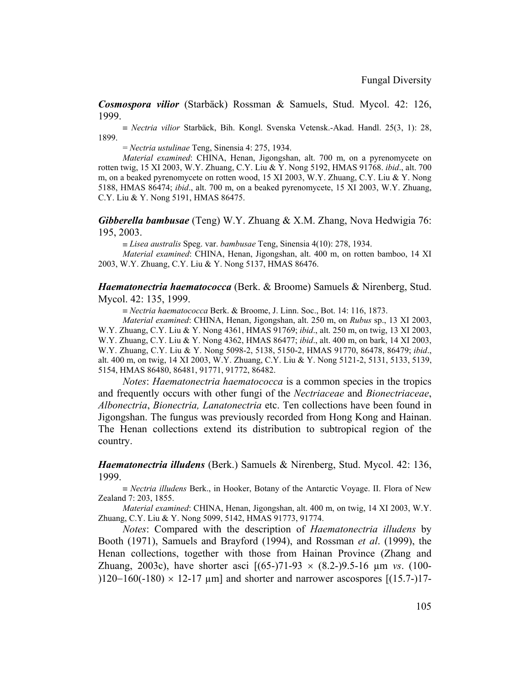*Cosmospora vilior* (Starbäck) Rossman & Samuels, Stud. Mycol. 42: 126, 1999.

≡ *Nectria vilior* Starbäck, Bih. Kongl. Svenska Vetensk.-Akad. Handl. 25(3, 1): 28, 1899.

= *Nectria ustulinae* Teng, Sinensia 4: 275, 1934.

*Material examined*: CHINA, Henan, Jigongshan, alt. 700 m, on a pyrenomycete on rotten twig, 15 XI 2003, W.Y. Zhuang, C.Y. Liu & Y. Nong 5192, HMAS 91768. *ibid*., alt. 700 m, on a beaked pyrenomycete on rotten wood, 15 XI 2003, W.Y. Zhuang, C.Y. Liu & Y. Nong 5188, HMAS 86474; *ibid*., alt. 700 m, on a beaked pyrenomycete, 15 XI 2003, W.Y. Zhuang, C.Y. Liu & Y. Nong 5191, HMAS 86475.

*Gibberella bambusae* (Teng) W.Y. Zhuang & X.M. Zhang, Nova Hedwigia 76: 195, 2003.

≡ *Lisea australis* Speg. var. *bambusae* Teng, Sinensia 4(10): 278, 1934.

*Material examined*: CHINA, Henan, Jigongshan, alt. 400 m, on rotten bamboo, 14 XI 2003, W.Y. Zhuang, C.Y. Liu & Y. Nong 5137, HMAS 86476.

*Haematonectria haematococca* (Berk. & Broome) Samuels & Nirenberg, Stud. Mycol. 42: 135, 1999.

≡ *Nectria haematococca* Berk. & Broome, J. Linn. Soc., Bot. 14: 116, 1873.

*Material examined*: CHINA, Henan, Jigongshan, alt. 250 m, on *Rubus* sp., 13 XI 2003, W.Y. Zhuang, C.Y. Liu & Y. Nong 4361, HMAS 91769; *ibid*., alt. 250 m, on twig, 13 XI 2003, W.Y. Zhuang, C.Y. Liu & Y. Nong 4362, HMAS 86477; *ibid*., alt. 400 m, on bark, 14 XI 2003, W.Y. Zhuang, C.Y. Liu & Y. Nong 5098-2, 5138, 5150-2, HMAS 91770, 86478, 86479; *ibid*., alt. 400 m, on twig, 14 XI 2003, W.Y. Zhuang, C.Y. Liu & Y. Nong 5121-2, 5131, 5133, 5139, 5154, HMAS 86480, 86481, 91771, 91772, 86482.

*Notes*: *Haematonectria haematococca* is a common species in the tropics and frequently occurs with other fungi of the *Nectriaceae* and *Bionectriaceae*, *Albonectria*, *Bionectria, Lanatonectria* etc. Ten collections have been found in Jigongshan. The fungus was previously recorded from Hong Kong and Hainan. The Henan collections extend its distribution to subtropical region of the country.

*Haematonectria illudens* (Berk.) Samuels & Nirenberg, Stud. Mycol. 42: 136, 1999.

≡ *Nectria illudens* Berk., in Hooker, Botany of the Antarctic Voyage. II. Flora of New Zealand 7: 203, 1855.

*Material examined*: CHINA, Henan, Jigongshan, alt. 400 m, on twig, 14 XI 2003, W.Y. Zhuang, C.Y. Liu & Y. Nong 5099, 5142, HMAS 91773, 91774.

*Notes*: Compared with the description of *Haematonectria illudens* by Booth (1971), Samuels and Brayford (1994), and Rossman *et al*. (1999), the Henan collections, together with those from Hainan Province (Zhang and Zhuang, 2003c), have shorter asci [(65-)71-93 × (8.2-)9.5-16 µm *vs*. (100- )120−160(-180)  $\times$  12-17 µm] and shorter and narrower ascospores [(15.7-)17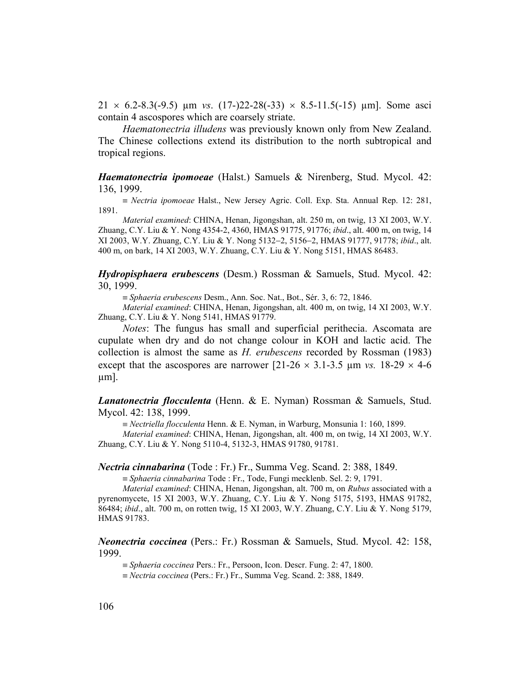$21 \times 6.2 - 8.3(-9.5)$  um *vs.*  $(17) - 22 - 28(-33) \times 8.5 - 11.5(-15)$  um]. Some asci contain 4 ascospores which are coarsely striate.

*Haematonectria illudens* was previously known only from New Zealand. The Chinese collections extend its distribution to the north subtropical and tropical regions.

*Haematonectria ipomoeae* (Halst.) Samuels & Nirenberg, Stud. Mycol. 42: 136, 1999.

≡ *Nectria ipomoeae* Halst., New Jersey Agric. Coll. Exp. Sta. Annual Rep. 12: 281, 1891.

*Material examined*: CHINA, Henan, Jigongshan, alt. 250 m, on twig, 13 XI 2003, W.Y. Zhuang, C.Y. Liu & Y. Nong 4354-2, 4360, HMAS 91775, 91776; *ibid*., alt. 400 m, on twig, 14 XI 2003, W.Y. Zhuang, C.Y. Liu & Y. Nong 5132−2, 5156−2, HMAS 91777, 91778; *ibid*., alt. 400 m, on bark, 14 XI 2003, W.Y. Zhuang, C.Y. Liu & Y. Nong 5151, HMAS 86483.

*Hydropisphaera erubescens* (Desm.) Rossman & Samuels, Stud. Mycol. 42: 30, 1999.

≡ *Sphaeria erubescens* Desm., Ann. Soc. Nat., Bot., Sér. 3, 6: 72, 1846.

*Material examined*: CHINA, Henan, Jigongshan, alt. 400 m, on twig, 14 XI 2003, W.Y. Zhuang, C.Y. Liu & Y. Nong 5141, HMAS 91779.

*Notes*: The fungus has small and superficial perithecia. Ascomata are cupulate when dry and do not change colour in KOH and lactic acid. The collection is almost the same as *H. erubescens* recorded by Rossman (1983) except that the ascospores are narrower  $[21-26 \times 3.1-3.5 \text{ µm } \nu s. 18-29 \times 4-6$ µm].

*Lanatonectria flocculenta* (Henn. & E. Nyman) Rossman & Samuels, Stud. Mycol. 42: 138, 1999.

≡ *Nectriella flocculenta* Henn. & E. Nyman, in Warburg, Monsunia 1: 160, 1899.

*Material examined*: CHINA, Henan, Jigongshan, alt. 400 m, on twig, 14 XI 2003, W.Y. Zhuang, C.Y. Liu & Y. Nong 5110-4, 5132-3, HMAS 91780, 91781.

*Nectria cinnabarina* (Tode : Fr.) Fr., Summa Veg. Scand. 2: 388, 1849.

≡ *Sphaeria cinnabarina* Tode : Fr., Tode, Fungi mecklenb. Sel. 2: 9, 1791.

*Material examined*: CHINA, Henan, Jigongshan, alt. 700 m, on *Rubus* associated with a pyrenomycete, 15 XI 2003, W.Y. Zhuang, C.Y. Liu & Y. Nong 5175, 5193, HMAS 91782, 86484; *ibid*., alt. 700 m, on rotten twig, 15 XI 2003, W.Y. Zhuang, C.Y. Liu & Y. Nong 5179, HMAS 91783.

*Neonectria coccinea* (Pers.: Fr.) Rossman & Samuels, Stud. Mycol. 42: 158, 1999.

≡ *Sphaeria coccinea* Pers.: Fr., Persoon, Icon. Descr. Fung. 2: 47, 1800.

≡ *Nectria coccinea* (Pers.: Fr.) Fr., Summa Veg. Scand. 2: 388, 1849.